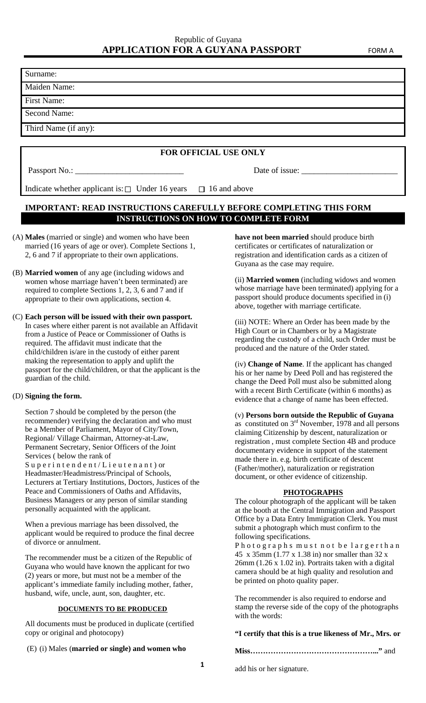Surname:

Maiden Name:

First Name:

Second Name:

Third Name (if any):

## **FOR OFFICIAL USE ONLY**

Passport No.: \_\_\_\_\_\_\_\_\_\_\_\_\_\_\_\_\_\_\_\_\_\_\_\_\_\_ Date of issue: \_\_\_\_\_\_\_\_\_\_\_\_\_\_\_\_\_\_\_\_\_\_\_

Indicate whether applicant is:  $\Box$  Under 16 years  $\Box$  16 and above

## **IMPORTANT: READ INSTRUCTIONS CAREFULLY BEFORE COMPLETING THIS FORM INSTRUCTIONS ON HOW TO COMPLETE FORM**

- (A) **Males** (married or single) and women who have been married (16 years of age or over). Complete Sections 1, 2, 6 and 7 if appropriate to their own applications.
- (B) **Married women** of any age (including widows and women whose marriage haven't been terminated) are required to complete Sections 1, 2, 3, 6 and 7 and if appropriate to their own applications, section 4.
- (C) **Each person will be issued with their own passport.** In cases where either parent is not available an Affidavit from a Justice of Peace or Commissioner of Oaths is required. The affidavit must indicate that the child/children is/are in the custody of either parent making the representation to apply and uplift the passport for the child/children, or that the applicant is the guardian of the child.

#### (D) **Signing the form.**

Section 7 should be completed by the person (the recommender) verifying the declaration and who must be a Member of Parliament, Mayor of City/Town, Regional/ Village Chairman, Attorney-at-Law, Permanent Secretary, Senior Officers of the Joint Services ( below the rank of Superintendent/Lieutenant) or Headmaster/Headmistress/Principal of Schools, Lecturers at Tertiary Institutions, Doctors, Justices of the Peace and Commissioners of Oaths and Affidavits, Business Managers or any person of similar standing personally acquainted with the applicant.

When a previous marriage has been dissolved, the applicant would be required to produce the final decree of divorce or annulment.

The recommender must be a citizen of the Republic of Guyana who would have known the applicant for two (2) years or more, but must not be a member of the applicant's immediate family including mother, father, husband, wife, uncle, aunt, son, daughter, etc.

#### **DOCUMENTS TO BE PRODUCED**

All documents must be produced in duplicate (certified copy or original and photocopy)

(E) (i) Males (**married or single) and women who**

**have not been married** should produce birth certificates or certificates of naturalization or registration and identification cards as a citizen of Guyana as the case may require.

(ii) **Married women** (including widows and women whose marriage have been terminated) applying for a passport should produce documents specified in (i) above, together with marriage certificate.

(iii) NOTE: Where an Order has been made by the High Court or in Chambers or by a Magistrate regarding the custody of a child, such Order must be produced and the nature of the Order stated.

(iv) **Change of Name**. If the applicant has changed his or her name by Deed Poll and has registered the change the Deed Poll must also be submitted along with a recent Birth Certificate (within 6 months) as evidence that a change of name has been effected.

(v) **Persons born outside the Republic of Guyana** as constituted on  $3<sup>rd</sup>$  November, 1978 and all persons claiming Citizenship by descent, naturalization or registration , must complete Section 4B and produce documentary evidence in support of the statement made there in. e.g. birth certificate of descent (Father/mother), naturalization or registration document, or other evidence of citizenship.

#### **PHOTOGRAPHS**

The colour photograph of the applicant will be taken at the booth at the Central Immigration and Passport Office by a Data Entry Immigration Clerk. You must submit a photograph which must confirm to the following specifications.

Photographs must not be largerthan 45 x 35mm (1.77 x 1.38 in) nor smaller than 32 x 26mm (1.26 x 1.02 in). Portraits taken with a digital camera should be at high quality and resolution and be printed on photo quality paper.

The recommender is also required to endorse and stamp the reverse side of the copy of the photographs with the words:

#### **"I certify that this is a true likeness of Mr., Mrs. or**

**Miss…………………………………………..."** and

add his or her signature.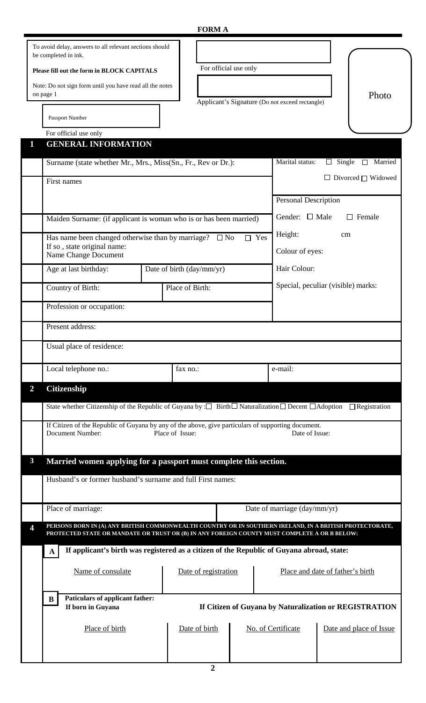## **FORM A**

|                |                                                                                                                                                              | т отли п                                                                                                                         |                                                 |                                                                                    |                                    |  |  |  |
|----------------|--------------------------------------------------------------------------------------------------------------------------------------------------------------|----------------------------------------------------------------------------------------------------------------------------------|-------------------------------------------------|------------------------------------------------------------------------------------|------------------------------------|--|--|--|
|                | To avoid delay, answers to all relevant sections should<br>be completed in ink.                                                                              |                                                                                                                                  |                                                 |                                                                                    |                                    |  |  |  |
|                | For official use only<br>Please fill out the form in BLOCK CAPITALS                                                                                          |                                                                                                                                  |                                                 |                                                                                    |                                    |  |  |  |
|                | Note: Do not sign form until you have read all the notes                                                                                                     |                                                                                                                                  |                                                 |                                                                                    |                                    |  |  |  |
|                | on page 1                                                                                                                                                    |                                                                                                                                  | Applicant's Signature (Do not exceed rectangle) |                                                                                    | Photo                              |  |  |  |
|                | Passport Number                                                                                                                                              |                                                                                                                                  |                                                 |                                                                                    |                                    |  |  |  |
|                | For official use only                                                                                                                                        |                                                                                                                                  |                                                 |                                                                                    |                                    |  |  |  |
| $\mathbf{1}$   | <b>GENERAL INFORMATION</b>                                                                                                                                   |                                                                                                                                  |                                                 |                                                                                    |                                    |  |  |  |
|                | Surname (state whether Mr., Mrs., Miss(Sn., Fr., Rev or Dr.):                                                                                                |                                                                                                                                  |                                                 | Single<br>Marital status:<br>□ Married<br>$\Box$<br>$\Box$ Divorced $\Box$ Widowed |                                    |  |  |  |
|                | First names                                                                                                                                                  |                                                                                                                                  |                                                 |                                                                                    |                                    |  |  |  |
|                |                                                                                                                                                              |                                                                                                                                  |                                                 | <b>Personal Description</b>                                                        |                                    |  |  |  |
|                | Maiden Surname: (if applicant is woman who is or has been married)                                                                                           |                                                                                                                                  |                                                 | Gender: $\Box$ Male<br>$\Box$ Female                                               |                                    |  |  |  |
|                |                                                                                                                                                              |                                                                                                                                  |                                                 | Height:<br>cm                                                                      |                                    |  |  |  |
|                | Has name been changed otherwise than by marriage? $\square$ No<br>$\Box$ Yes<br>If so, state original name:                                                  |                                                                                                                                  |                                                 | Colour of eyes:                                                                    |                                    |  |  |  |
|                | Name Change Document                                                                                                                                         |                                                                                                                                  |                                                 |                                                                                    |                                    |  |  |  |
|                | Age at last birthday:                                                                                                                                        | Date of birth (day/mm/yr)                                                                                                        |                                                 | Hair Colour:                                                                       |                                    |  |  |  |
|                | Country of Birth:                                                                                                                                            | Place of Birth:                                                                                                                  |                                                 |                                                                                    | Special, peculiar (visible) marks: |  |  |  |
|                | Profession or occupation:                                                                                                                                    |                                                                                                                                  |                                                 |                                                                                    |                                    |  |  |  |
|                | Present address:                                                                                                                                             |                                                                                                                                  |                                                 |                                                                                    |                                    |  |  |  |
|                | Usual place of residence:                                                                                                                                    |                                                                                                                                  |                                                 |                                                                                    |                                    |  |  |  |
|                |                                                                                                                                                              |                                                                                                                                  |                                                 |                                                                                    |                                    |  |  |  |
|                | Local telephone no.:                                                                                                                                         | fax no.:                                                                                                                         |                                                 | e-mail:                                                                            |                                    |  |  |  |
| $\overline{2}$ | Citizenship                                                                                                                                                  |                                                                                                                                  |                                                 |                                                                                    |                                    |  |  |  |
|                | State whether Citizenship of the Republic of Guyana by : $\square$ Birth $\square$ Naturalization $\square$ Decent $\square$ Adoption $\square$ Registration |                                                                                                                                  |                                                 |                                                                                    |                                    |  |  |  |
|                |                                                                                                                                                              | If Citizen of the Republic of Guyana by any of the above, give particulars of supporting document.                               |                                                 |                                                                                    |                                    |  |  |  |
|                | <b>Document Number:</b>                                                                                                                                      | Place of Issue:                                                                                                                  |                                                 | Date of Issue:                                                                     |                                    |  |  |  |
| $\mathbf{3}$   |                                                                                                                                                              |                                                                                                                                  |                                                 |                                                                                    |                                    |  |  |  |
|                |                                                                                                                                                              | Married women applying for a passport must complete this section.<br>Husband's or former husband's surname and full First names: |                                                 |                                                                                    |                                    |  |  |  |
|                |                                                                                                                                                              |                                                                                                                                  |                                                 |                                                                                    |                                    |  |  |  |
|                | Place of marriage:                                                                                                                                           |                                                                                                                                  |                                                 | Date of marriage (day/mm/yr)                                                       |                                    |  |  |  |
| 4              |                                                                                                                                                              | PERSONS BORN IN (A) ANY BRITISH COMMONWEALTH COUNTRY OR IN SOUTHERN IRELAND, IN A BRITISH PROTECTORATE,                          |                                                 |                                                                                    |                                    |  |  |  |
|                | PROTECTED STATE OR MANDATE OR TRUST OR (B) IN ANY FOREIGN COUNTY MUST COMPLETE A OR B BELOW:                                                                 |                                                                                                                                  |                                                 |                                                                                    |                                    |  |  |  |
|                | A                                                                                                                                                            | If applicant's birth was registered as a citizen of the Republic of Guyana abroad, state:                                        |                                                 |                                                                                    |                                    |  |  |  |
|                | Name of consulate                                                                                                                                            | Date of registration<br>Place and date of father's birth                                                                         |                                                 |                                                                                    |                                    |  |  |  |
|                |                                                                                                                                                              |                                                                                                                                  |                                                 |                                                                                    |                                    |  |  |  |
|                | B<br>If born in Guyana                                                                                                                                       | Paticulars of applicant father:<br>If Citizen of Guyana by Naturalization or REGISTRATION                                        |                                                 |                                                                                    |                                    |  |  |  |
|                |                                                                                                                                                              |                                                                                                                                  |                                                 |                                                                                    |                                    |  |  |  |
|                | Place of birth                                                                                                                                               | Date of birth                                                                                                                    |                                                 | No. of Certificate                                                                 | Date and place of Issue            |  |  |  |
|                |                                                                                                                                                              |                                                                                                                                  |                                                 |                                                                                    |                                    |  |  |  |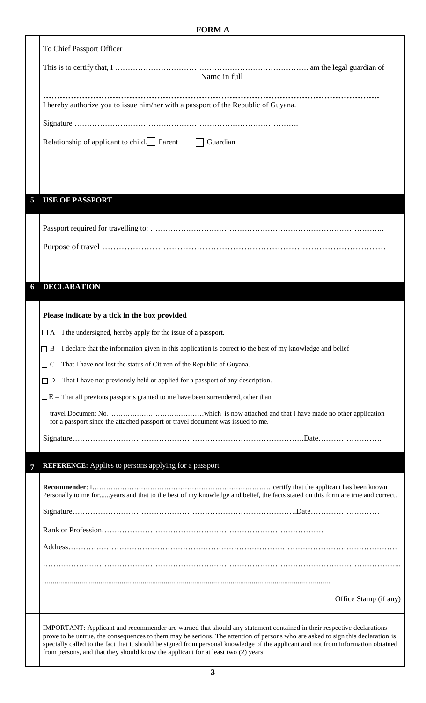# **FORM A**

|   | To Chief Passport Officer                                                                                                                                                                                                                                                                                                                                |  |  |  |  |  |
|---|----------------------------------------------------------------------------------------------------------------------------------------------------------------------------------------------------------------------------------------------------------------------------------------------------------------------------------------------------------|--|--|--|--|--|
|   |                                                                                                                                                                                                                                                                                                                                                          |  |  |  |  |  |
|   | Name in full                                                                                                                                                                                                                                                                                                                                             |  |  |  |  |  |
|   | I hereby authorize you to issue him/her with a passport of the Republic of Guyana.                                                                                                                                                                                                                                                                       |  |  |  |  |  |
|   |                                                                                                                                                                                                                                                                                                                                                          |  |  |  |  |  |
|   | Relationship of applicant to child. Parent<br>$\Box$ Guardian                                                                                                                                                                                                                                                                                            |  |  |  |  |  |
|   |                                                                                                                                                                                                                                                                                                                                                          |  |  |  |  |  |
|   |                                                                                                                                                                                                                                                                                                                                                          |  |  |  |  |  |
|   |                                                                                                                                                                                                                                                                                                                                                          |  |  |  |  |  |
| 5 | <b>USE OF PASSPORT</b>                                                                                                                                                                                                                                                                                                                                   |  |  |  |  |  |
|   |                                                                                                                                                                                                                                                                                                                                                          |  |  |  |  |  |
|   |                                                                                                                                                                                                                                                                                                                                                          |  |  |  |  |  |
|   |                                                                                                                                                                                                                                                                                                                                                          |  |  |  |  |  |
|   |                                                                                                                                                                                                                                                                                                                                                          |  |  |  |  |  |
| 6 | <b>DECLARATION</b>                                                                                                                                                                                                                                                                                                                                       |  |  |  |  |  |
|   |                                                                                                                                                                                                                                                                                                                                                          |  |  |  |  |  |
|   | Please indicate by a tick in the box provided                                                                                                                                                                                                                                                                                                            |  |  |  |  |  |
|   | $\Box$ A – I the undersigned, hereby apply for the issue of a passport.                                                                                                                                                                                                                                                                                  |  |  |  |  |  |
|   | $\Box$ B – I declare that the information given in this application is correct to the best of my knowledge and belief                                                                                                                                                                                                                                    |  |  |  |  |  |
|   | $\Box$ C – That I have not lost the status of Citizen of the Republic of Guyana.                                                                                                                                                                                                                                                                         |  |  |  |  |  |
|   | $\Box$ D – That I have not previously held or applied for a passport of any description.                                                                                                                                                                                                                                                                 |  |  |  |  |  |
|   | $\Box E$ – That all previous passports granted to me have been surrendered, other than                                                                                                                                                                                                                                                                   |  |  |  |  |  |
|   | for a passport since the attached passport or travel document was issued to me.                                                                                                                                                                                                                                                                          |  |  |  |  |  |
|   |                                                                                                                                                                                                                                                                                                                                                          |  |  |  |  |  |
|   |                                                                                                                                                                                                                                                                                                                                                          |  |  |  |  |  |
| 7 | <b>REFERENCE:</b> Applies to persons applying for a passport                                                                                                                                                                                                                                                                                             |  |  |  |  |  |
|   | Personally to me foryears and that to the best of my knowledge and belief, the facts stated on this form are true and correct.                                                                                                                                                                                                                           |  |  |  |  |  |
|   |                                                                                                                                                                                                                                                                                                                                                          |  |  |  |  |  |
|   |                                                                                                                                                                                                                                                                                                                                                          |  |  |  |  |  |
|   |                                                                                                                                                                                                                                                                                                                                                          |  |  |  |  |  |
|   |                                                                                                                                                                                                                                                                                                                                                          |  |  |  |  |  |
|   |                                                                                                                                                                                                                                                                                                                                                          |  |  |  |  |  |
|   | Office Stamp (if any)                                                                                                                                                                                                                                                                                                                                    |  |  |  |  |  |
|   | IMPORTANT: Applicant and recommender are warned that should any statement contained in their respective declarations                                                                                                                                                                                                                                     |  |  |  |  |  |
|   | prove to be untrue, the consequences to them may be serious. The attention of persons who are asked to sign this declaration is<br>specially called to the fact that it should be signed from personal knowledge of the applicant and not from information obtained<br>from persons, and that they should know the applicant for at least two (2) years. |  |  |  |  |  |

 $\overline{\phantom{a}}$